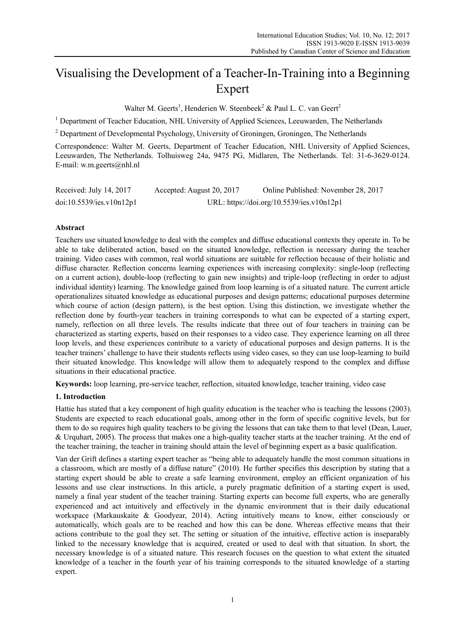# Visualising the Development of a Teacher-In-Training into a Beginning Expert

Walter M. Geerts<sup>1</sup>, Henderien W. Steenbeek<sup>2</sup> & Paul L. C. van Geert<sup>2</sup>

<sup>1</sup> Department of Teacher Education, NHL University of Applied Sciences, Leeuwarden, The Netherlands

 $2^{2}$  Department of Developmental Psychology, University of Groningen, Groningen, The Netherlands

Correspondence: Walter M. Geerts, Department of Teacher Education, NHL University of Applied Sciences, Leeuwarden, The Netherlands. Tolhuisweg 24a, 9475 PG, Midlaren, The Netherlands. Tel: 31-6-3629-0124. E-mail: w.m.geerts@nhl.nl

| Received: July 14, 2017  | Accepted: August 20, 2017 | Online Published: November 28, 2017       |
|--------------------------|---------------------------|-------------------------------------------|
| doi:10.5539/ies.v10n12p1 |                           | URL: https://doi.org/10.5539/ies.v10n12p1 |

### **Abstract**

Teachers use situated knowledge to deal with the complex and diffuse educational contexts they operate in. To be able to take deliberated action, based on the situated knowledge, reflection is necessary during the teacher training. Video cases with common, real world situations are suitable for reflection because of their holistic and diffuse character. Reflection concerns learning experiences with increasing complexity: single-loop (reflecting on a current action), double-loop (reflecting to gain new insights) and triple-loop (reflecting in order to adjust individual identity) learning. The knowledge gained from loop learning is of a situated nature. The current article operationalizes situated knowledge as educational purposes and design patterns; educational purposes determine which course of action (design pattern), is the best option. Using this distinction, we investigate whether the reflection done by fourth-year teachers in training corresponds to what can be expected of a starting expert, namely, reflection on all three levels. The results indicate that three out of four teachers in training can be characterized as starting experts, based on their responses to a video case. They experience learning on all three loop levels, and these experiences contribute to a variety of educational purposes and design patterns. It is the teacher trainers' challenge to have their students reflects using video cases, so they can use loop-learning to build their situated knowledge. This knowledge will allow them to adequately respond to the complex and diffuse situations in their educational practice.

**Keywords:** loop learning, pre-service teacher, reflection, situated knowledge, teacher training, video case

### **1. Introduction**

Hattie has stated that a key component of high quality education is the teacher who is teaching the lessons (2003). Students are expected to reach educational goals, among other in the form of specific cognitive levels, but for them to do so requires high quality teachers to be giving the lessons that can take them to that level (Dean, Lauer, & Urquhart, 2005). The process that makes one a high-quality teacher starts at the teacher training. At the end of the teacher training, the teacher in training should attain the level of beginning expert as a basic qualification.

Van der Grift defines a starting expert teacher as "being able to adequately handle the most common situations in a classroom, which are mostly of a diffuse nature" (2010). He further specifies this description by stating that a starting expert should be able to create a safe learning environment, employ an efficient organization of his lessons and use clear instructions. In this article, a purely pragmatic definition of a starting expert is used, namely a final year student of the teacher training. Starting experts can become full experts, who are generally experienced and act intuitively and effectively in the dynamic environment that is their daily educational workspace (Markauskaite & Goodyear, 2014). Acting intuitively means to know, either consciously or automatically, which goals are to be reached and how this can be done. Whereas effective means that their actions contribute to the goal they set. The setting or situation of the intuitive, effective action is inseparably linked to the necessary knowledge that is acquired, created or used to deal with that situation. In short, the necessary knowledge is of a situated nature. This research focuses on the question to what extent the situated knowledge of a teacher in the fourth year of his training corresponds to the situated knowledge of a starting expert.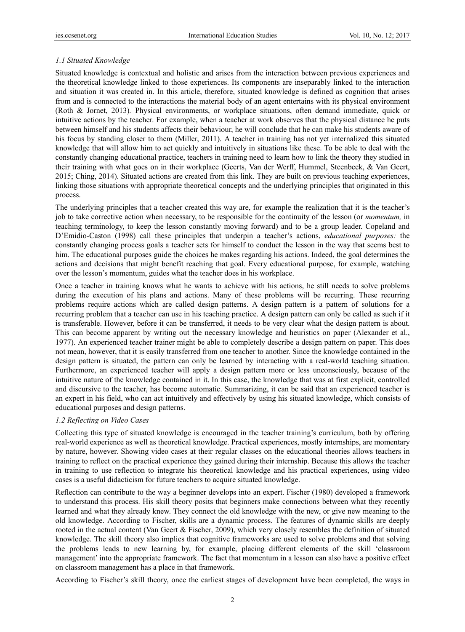### *1.1 Situated Knowledge*

Situated knowledge is contextual and holistic and arises from the interaction between previous experiences and the theoretical knowledge linked to those experiences. Its components are inseparably linked to the interaction and situation it was created in. In this article, therefore, situated knowledge is defined as cognition that arises from and is connected to the interactions the material body of an agent entertains with its physical environment (Roth & Jornet, 2013)*.* Physical environments, or workplace situations, often demand immediate, quick or intuitive actions by the teacher. For example, when a teacher at work observes that the physical distance he puts between himself and his students affects their behaviour, he will conclude that he can make his students aware of his focus by standing closer to them (Miller, 2011). A teacher in training has not yet internalized this situated knowledge that will allow him to act quickly and intuitively in situations like these. To be able to deal with the constantly changing educational practice, teachers in training need to learn how to link the theory they studied in their training with what goes on in their workplace (Geerts, Van der Werff, Hummel, Steenbeek, & Van Geert, 2015; Ching, 2014). Situated actions are created from this link. They are built on previous teaching experiences, linking those situations with appropriate theoretical concepts and the underlying principles that originated in this process.

The underlying principles that a teacher created this way are, for example the realization that it is the teacher's job to take corrective action when necessary, to be responsible for the continuity of the lesson (or *momentum,* in teaching terminology, to keep the lesson constantly moving forward) and to be a group leader. Copeland and D'Emidio-Caston (1998) call these principles that underpin a teacher's actions, *educational purposes:* the constantly changing process goals a teacher sets for himself to conduct the lesson in the way that seems best to him. The educational purposes guide the choices he makes regarding his actions. Indeed, the goal determines the actions and decisions that might benefit reaching that goal. Every educational purpose, for example, watching over the lesson's momentum, guides what the teacher does in his workplace.

Once a teacher in training knows what he wants to achieve with his actions, he still needs to solve problems during the execution of his plans and actions. Many of these problems will be recurring. These recurring problems require actions which are called design patterns. A design pattern is a pattern of solutions for a recurring problem that a teacher can use in his teaching practice. A design pattern can only be called as such if it is transferable. However, before it can be transferred, it needs to be very clear what the design pattern is about. This can become apparent by writing out the necessary knowledge and heuristics on paper (Alexander et al., 1977). An experienced teacher trainer might be able to completely describe a design pattern on paper. This does not mean, however, that it is easily transferred from one teacher to another. Since the knowledge contained in the design pattern is situated, the pattern can only be learned by interacting with a real-world teaching situation. Furthermore, an experienced teacher will apply a design pattern more or less unconsciously, because of the intuitive nature of the knowledge contained in it. In this case, the knowledge that was at first explicit, controlled and discursive to the teacher, has become automatic. Summarizing, it can be said that an experienced teacher is an expert in his field, who can act intuitively and effectively by using his situated knowledge, which consists of educational purposes and design patterns.

### *1.2 Reflecting on Video Cases*

Collecting this type of situated knowledge is encouraged in the teacher training's curriculum, both by offering real-world experience as well as theoretical knowledge. Practical experiences, mostly internships, are momentary by nature, however. Showing video cases at their regular classes on the educational theories allows teachers in training to reflect on the practical experience they gained during their internship. Because this allows the teacher in training to use reflection to integrate his theoretical knowledge and his practical experiences, using video cases is a useful didacticism for future teachers to acquire situated knowledge.

Reflection can contribute to the way a beginner develops into an expert. Fischer (1980) developed a framework to understand this process. His skill theory posits that beginners make connections between what they recently learned and what they already knew. They connect the old knowledge with the new, or give new meaning to the old knowledge. According to Fischer, skills are a dynamic process. The features of dynamic skills are deeply rooted in the actual content (Van Geert & Fischer, 2009), which very closely resembles the definition of situated knowledge. The skill theory also implies that cognitive frameworks are used to solve problems and that solving the problems leads to new learning by, for example, placing different elements of the skill 'classroom management' into the appropriate framework. The fact that momentum in a lesson can also have a positive effect on classroom management has a place in that framework.

According to Fischer's skill theory, once the earliest stages of development have been completed, the ways in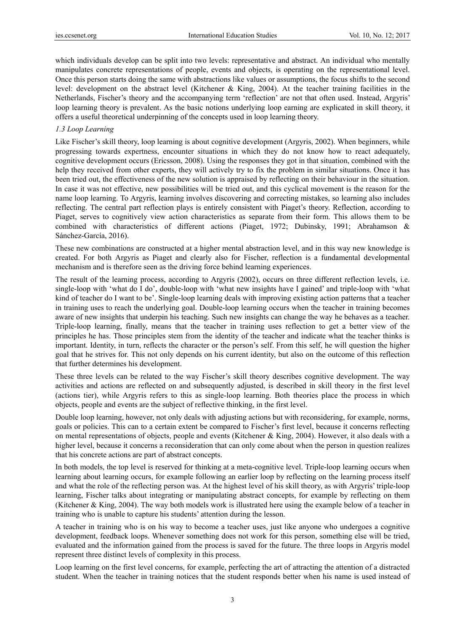which individuals develop can be split into two levels: representative and abstract. An individual who mentally manipulates concrete representations of people, events and objects, is operating on the representational level. Once this person starts doing the same with abstractions like values or assumptions, the focus shifts to the second level: development on the abstract level (Kitchener & King, 2004). At the teacher training facilities in the Netherlands, Fischer's theory and the accompanying term 'reflection' are not that often used. Instead, Argyris' loop learning theory is prevalent. As the basic notions underlying loop earning are explicated in skill theory, it offers a useful theoretical underpinning of the concepts used in loop learning theory.

### *1.3 Loop Learning*

Like Fischer's skill theory, loop learning is about cognitive development (Argyris, 2002). When beginners, while progressing towards expertness, encounter situations in which they do not know how to react adequately, cognitive development occurs (Ericsson, 2008). Using the responses they got in that situation, combined with the help they received from other experts, they will actively try to fix the problem in similar situations. Once it has been tried out, the effectiveness of the new solution is appraised by reflecting on their behaviour in the situation. In case it was not effective, new possibilities will be tried out, and this cyclical movement is the reason for the name loop learning. To Argyris, learning involves discovering and correcting mistakes, so learning also includes reflecting. The central part reflection plays is entirely consistent with Piaget's theory. Reflection, according to Piaget, serves to cognitively view action characteristics as separate from their form. This allows them to be combined with characteristics of different actions (Piaget, 1972; Dubinsky, 1991; Abrahamson & Sánchez-García, 2016).

These new combinations are constructed at a higher mental abstraction level, and in this way new knowledge is created. For both Argyris as Piaget and clearly also for Fischer, reflection is a fundamental developmental mechanism and is therefore seen as the driving force behind learning experiences.

The result of the learning process, according to Argyris (2002), occurs on three different reflection levels, i.e. single-loop with 'what do I do', double-loop with 'what new insights have I gained' and triple-loop with 'what kind of teacher do I want to be'. Single-loop learning deals with improving existing action patterns that a teacher in training uses to reach the underlying goal. Double-loop learning occurs when the teacher in training becomes aware of new insights that underpin his teaching. Such new insights can change the way he behaves as a teacher. Triple-loop learning, finally, means that the teacher in training uses reflection to get a better view of the principles he has. Those principles stem from the identity of the teacher and indicate what the teacher thinks is important. Identity, in turn, reflects the character or the person's self. From this self, he will question the higher goal that he strives for. This not only depends on his current identity, but also on the outcome of this reflection that further determines his development.

These three levels can be related to the way Fischer's skill theory describes cognitive development. The way activities and actions are reflected on and subsequently adjusted, is described in skill theory in the first level (actions tier), while Argyris refers to this as single-loop learning. Both theories place the process in which objects, people and events are the subject of reflective thinking, in the first level.

Double loop learning, however, not only deals with adjusting actions but with reconsidering, for example, norms, goals or policies. This can to a certain extent be compared to Fischer's first level, because it concerns reflecting on mental representations of objects, people and events (Kitchener & King, 2004). However, it also deals with a higher level, because it concerns a reconsideration that can only come about when the person in question realizes that his concrete actions are part of abstract concepts.

In both models, the top level is reserved for thinking at a meta-cognitive level. Triple-loop learning occurs when learning about learning occurs, for example following an earlier loop by reflecting on the learning process itself and what the role of the reflecting person was. At the highest level of his skill theory, as with Argyris' triple-loop learning, Fischer talks about integrating or manipulating abstract concepts, for example by reflecting on them (Kitchener & King, 2004). The way both models work is illustrated here using the example below of a teacher in training who is unable to capture his students' attention during the lesson.

A teacher in training who is on his way to become a teacher uses, just like anyone who undergoes a cognitive development, feedback loops. Whenever something does not work for this person, something else will be tried, evaluated and the information gained from the process is saved for the future. The three loops in Argyris model represent three distinct levels of complexity in this process.

Loop learning on the first level concerns, for example, perfecting the art of attracting the attention of a distracted student. When the teacher in training notices that the student responds better when his name is used instead of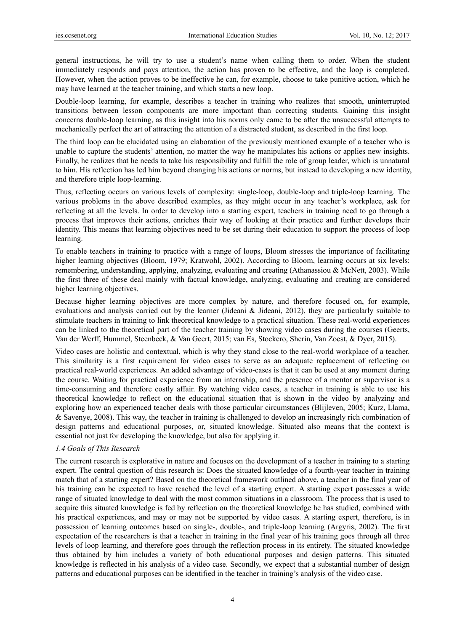general instructions, he will try to use a student's name when calling them to order. When the student immediately responds and pays attention, the action has proven to be effective, and the loop is completed. However, when the action proves to be ineffective he can, for example, choose to take punitive action, which he may have learned at the teacher training, and which starts a new loop.

Double-loop learning, for example, describes a teacher in training who realizes that smooth, uninterrupted transitions between lesson components are more important than correcting students. Gaining this insight concerns double-loop learning, as this insight into his norms only came to be after the unsuccessful attempts to mechanically perfect the art of attracting the attention of a distracted student, as described in the first loop.

The third loop can be elucidated using an elaboration of the previously mentioned example of a teacher who is unable to capture the students' attention, no matter the way he manipulates his actions or applies new insights. Finally, he realizes that he needs to take his responsibility and fulfill the role of group leader, which is unnatural to him. His reflection has led him beyond changing his actions or norms, but instead to developing a new identity, and therefore triple loop-learning.

Thus, reflecting occurs on various levels of complexity: single-loop, double-loop and triple-loop learning. The various problems in the above described examples, as they might occur in any teacher's workplace, ask for reflecting at all the levels. In order to develop into a starting expert, teachers in training need to go through a process that improves their actions, enriches their way of looking at their practice and further develops their identity. This means that learning objectives need to be set during their education to support the process of loop learning.

To enable teachers in training to practice with a range of loops, Bloom stresses the importance of facilitating higher learning objectives (Bloom, 1979; Kratwohl, 2002). According to Bloom, learning occurs at six levels: remembering, understanding, applying, analyzing, evaluating and creating (Athanassiou & McNett, 2003). While the first three of these deal mainly with factual knowledge, analyzing, evaluating and creating are considered higher learning objectives.

Because higher learning objectives are more complex by nature, and therefore focused on, for example, evaluations and analysis carried out by the learner (Jideani & Jideani, 2012), they are particularly suitable to stimulate teachers in training to link theoretical knowledge to a practical situation. These real-world experiences can be linked to the theoretical part of the teacher training by showing video cases during the courses (Geerts, Van der Werff, Hummel, Steenbeek, & Van Geert, 2015; van Es, Stockero, Sherin, Van Zoest, & Dyer, 2015).

Video cases are holistic and contextual, which is why they stand close to the real-world workplace of a teacher. This similarity is a first requirement for video cases to serve as an adequate replacement of reflecting on practical real-world experiences. An added advantage of video-cases is that it can be used at any moment during the course. Waiting for practical experience from an internship, and the presence of a mentor or supervisor is a time-consuming and therefore costly affair. By watching video cases, a teacher in training is able to use his theoretical knowledge to reflect on the educational situation that is shown in the video by analyzing and exploring how an experienced teacher deals with those particular circumstances (Blijleven, 2005; Kurz, Llama, & Savenye, 2008). This way, the teacher in training is challenged to develop an increasingly rich combination of design patterns and educational purposes, or, situated knowledge. Situated also means that the context is essential not just for developing the knowledge, but also for applying it.

### *1.4 Goals of This Research*

The current research is explorative in nature and focuses on the development of a teacher in training to a starting expert. The central question of this research is: Does the situated knowledge of a fourth-year teacher in training match that of a starting expert? Based on the theoretical framework outlined above, a teacher in the final year of his training can be expected to have reached the level of a starting expert. A starting expert possesses a wide range of situated knowledge to deal with the most common situations in a classroom. The process that is used to acquire this situated knowledge is fed by reflection on the theoretical knowledge he has studied, combined with his practical experiences, and may or may not be supported by video cases. A starting expert, therefore, is in possession of learning outcomes based on single-, double-, and triple-loop learning (Argyris, 2002). The first expectation of the researchers is that a teacher in training in the final year of his training goes through all three levels of loop learning, and therefore goes through the reflection process in its entirety. The situated knowledge thus obtained by him includes a variety of both educational purposes and design patterns. This situated knowledge is reflected in his analysis of a video case. Secondly, we expect that a substantial number of design patterns and educational purposes can be identified in the teacher in training's analysis of the video case.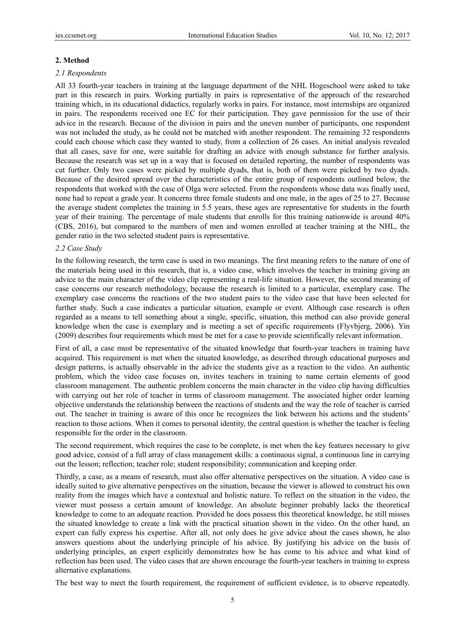### **2. Method**

#### *2.1 Respondents*

All 33 fourth-year teachers in training at the language department of the NHL Hogeschool were asked to take part in this research in pairs. Working partially in pairs is representative of the approach of the researched training which, in its educational didactics, regularly works in pairs. For instance, most internships are organized in pairs. The respondents received one EC for their participation. They gave permission for the use of their advice in the research. Because of the division in pairs and the uneven number of participants, one respondent was not included the study, as he could not be matched with another respondent. The remaining 32 respondents could each choose which case they wanted to study, from a collection of 26 cases. An initial analysis revealed that all cases, save for one, were suitable for drafting an advice with enough substance for further analysis. Because the research was set up in a way that is focused on detailed reporting, the number of respondents was cut further. Only two cases were picked by multiple dyads, that is, both of them were picked by two dyads. Because of the desired spread over the characteristics of the entire group of respondents outlined below, the respondents that worked with the case of Olga were selected. From the respondents whose data was finally used, none had to repeat a grade year. It concerns three female students and one male, in the ages of 25 to 27. Because the average student completes the training in 5.5 years, these ages are representative for students in the fourth year of their training. The percentage of male students that enrolls for this training nationwide is around 40% (CBS, 2016), but compared to the numbers of men and women enrolled at teacher training at the NHL, the gender ratio in the two selected student pairs is representative.

### *2.2 Case Study*

In the following research, the term case is used in two meanings. The first meaning refers to the nature of one of the materials being used in this research, that is, a video case, which involves the teacher in training giving an advice to the main character of the video clip representing a real-life situation. However, the second meaning of case concerns our research methodology, because the research is limited to a particular, exemplary case. The exemplary case concerns the reactions of the two student pairs to the video case that have been selected for further study. Such a case indicates a particular situation, example or event. Although case research is often regarded as a means to tell something about a single, specific, situation, this method can also provide general knowledge when the case is exemplary and is meeting a set of specific requirements (Flyvbjerg, 2006). Yin (2009) describes four requirements which must be met for a case to provide scientifically relevant information.

First of all, a case must be representative of the situated knowledge that fourth-year teachers in training have acquired. This requirement is met when the situated knowledge, as described through educational purposes and design patterns, is actually observable in the advice the students give as a reaction to the video. An authentic problem, which the video case focuses on, invites teachers in training to name certain elements of good classroom management. The authentic problem concerns the main character in the video clip having difficulties with carrying out her role of teacher in terms of classroom management. The associated higher order learning objective understands the relationship between the reactions of students and the way the role of teacher is carried out. The teacher in training is aware of this once he recognizes the link between his actions and the students' reaction to those actions. When it comes to personal identity, the central question is whether the teacher is feeling responsible for the order in the classroom.

The second requirement, which requires the case to be complete, is met when the key features necessary to give good advice, consist of a full array of class management skills: a continuous signal, a continuous line in carrying out the lesson; reflection; teacher role; student responsibility; communication and keeping order.

Thirdly, a case, as a means of research, must also offer alternative perspectives on the situation. A video case is ideally suited to give alternative perspectives on the situation, because the viewer is allowed to construct his own reality from the images which have a contextual and holistic nature. To reflect on the situation in the video, the viewer must possess a certain amount of knowledge. An absolute beginner probably lacks the theoretical knowledge to come to an adequate reaction. Provided he does possess this theoretical knowledge, he still misses the situated knowledge to create a link with the practical situation shown in the video. On the other hand, an expert can fully express his expertise. After all, not only does he give advice about the cases shown, he also answers questions about the underlying principle of his advice. By justifying his advice on the basis of underlying principles, an expert explicitly demonstrates how he has come to his advice and what kind of reflection has been used. The video cases that are shown encourage the fourth-year teachers in training to express alternative explanations.

The best way to meet the fourth requirement, the requirement of sufficient evidence, is to observe repeatedly.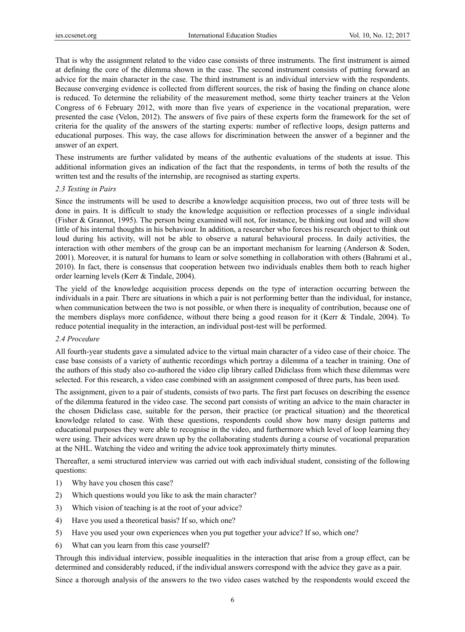That is why the assignment related to the video case consists of three instruments. The first instrument is aimed at defining the core of the dilemma shown in the case. The second instrument consists of putting forward an advice for the main character in the case. The third instrument is an individual interview with the respondents. Because converging evidence is collected from different sources, the risk of basing the finding on chance alone is reduced. To determine the reliability of the measurement method, some thirty teacher trainers at the Velon Congress of 6 February 2012, with more than five years of experience in the vocational preparation, were presented the case (Velon, 2012). The answers of five pairs of these experts form the framework for the set of criteria for the quality of the answers of the starting experts: number of reflective loops, design patterns and educational purposes. This way, the case allows for discrimination between the answer of a beginner and the answer of an expert.

These instruments are further validated by means of the authentic evaluations of the students at issue. This additional information gives an indication of the fact that the respondents, in terms of both the results of the written test and the results of the internship, are recognised as starting experts.

#### *2.3 Testing in Pairs*

Since the instruments will be used to describe a knowledge acquisition process, two out of three tests will be done in pairs. It is difficult to study the knowledge acquisition or reflection processes of a single individual (Fisher & Grannot, 1995). The person being examined will not, for instance, be thinking out loud and will show little of his internal thoughts in his behaviour. In addition, a researcher who forces his research object to think out loud during his activity, will not be able to observe a natural behavioural process. In daily activities, the interaction with other members of the group can be an important mechanism for learning (Anderson & Soden, 2001). Moreover, it is natural for humans to learn or solve something in collaboration with others (Bahrami et al., 2010). In fact, there is consensus that cooperation between two individuals enables them both to reach higher order learning levels (Kerr & Tindale, 2004).

The yield of the knowledge acquisition process depends on the type of interaction occurring between the individuals in a pair. There are situations in which a pair is not performing better than the individual, for instance, when communication between the two is not possible, or when there is inequality of contribution, because one of the members displays more confidence, without there being a good reason for it (Kerr & Tindale, 2004). To reduce potential inequality in the interaction, an individual post-test will be performed.

### *2.4 Procedure*

All fourth-year students gave a simulated advice to the virtual main character of a video case of their choice. The case base consists of a variety of authentic recordings which portray a dilemma of a teacher in training. One of the authors of this study also co-authored the video clip library called Didiclass from which these dilemmas were selected. For this research, a video case combined with an assignment composed of three parts, has been used.

The assignment, given to a pair of students, consists of two parts. The first part focuses on describing the essence of the dilemma featured in the video case. The second part consists of writing an advice to the main character in the chosen Didiclass case, suitable for the person, their practice (or practical situation) and the theoretical knowledge related to case. With these questions, respondents could show how many design patterns and educational purposes they were able to recognise in the video, and furthermore which level of loop learning they were using. Their advices were drawn up by the collaborating students during a course of vocational preparation at the NHL. Watching the video and writing the advice took approximately thirty minutes.

Thereafter, a semi structured interview was carried out with each individual student, consisting of the following questions:

- 1) Why have you chosen this case?
- 2) Which questions would you like to ask the main character?
- 3) Which vision of teaching is at the root of your advice?
- 4) Have you used a theoretical basis? If so, which one?
- 5) Have you used your own experiences when you put together your advice? If so, which one?
- 6) What can you learn from this case yourself?

Through this individual interview, possible inequalities in the interaction that arise from a group effect, can be determined and considerably reduced, if the individual answers correspond with the advice they gave as a pair.

Since a thorough analysis of the answers to the two video cases watched by the respondents would exceed the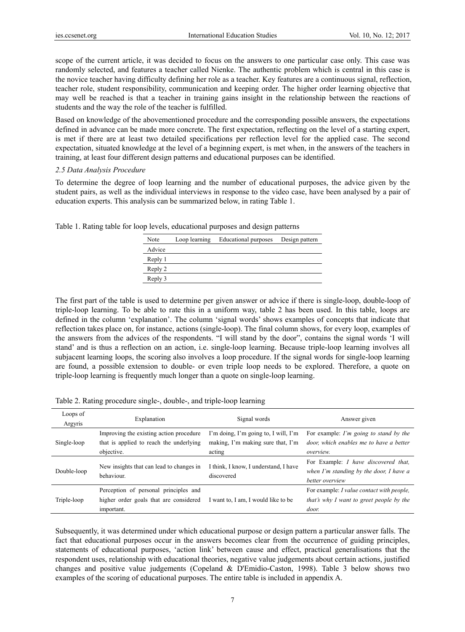scope of the current article, it was decided to focus on the answers to one particular case only. This case was randomly selected, and features a teacher called Nienke. The authentic problem which is central in this case is the novice teacher having difficulty defining her role as a teacher. Key features are a continuous signal, reflection, teacher role, student responsibility, communication and keeping order. The higher order learning objective that may well be reached is that a teacher in training gains insight in the relationship between the reactions of students and the way the role of the teacher is fulfilled.

Based on knowledge of the abovementioned procedure and the corresponding possible answers, the expectations defined in advance can be made more concrete. The first expectation, reflecting on the level of a starting expert, is met if there are at least two detailed specifications per reflection level for the applied case. The second expectation, situated knowledge at the level of a beginning expert, is met when, in the answers of the teachers in training, at least four different design patterns and educational purposes can be identified.

### *2.5 Data Analysis Procedure*

To determine the degree of loop learning and the number of educational purposes, the advice given by the student pairs, as well as the individual interviews in response to the video case, have been analysed by a pair of education experts. This analysis can be summarized below, in rating Table 1.

| Note    | Loop learning | Educational purposes | Design pattern |
|---------|---------------|----------------------|----------------|
| Advice  |               |                      |                |
| Reply 1 |               |                      |                |
| Reply 2 |               |                      |                |
| Reply 3 |               |                      |                |

Table 1. Rating table for loop levels, educational purposes and design patterns

The first part of the table is used to determine per given answer or advice if there is single-loop, double-loop of triple-loop learning. To be able to rate this in a uniform way, table 2 has been used. In this table, loops are defined in the column 'explanation'. The column 'signal words' shows examples of concepts that indicate that reflection takes place on, for instance, actions (single-loop). The final column shows, for every loop, examples of the answers from the advices of the respondents. "I will stand by the door", contains the signal words 'I will stand' and is thus a reflection on an action, i.e. single-loop learning. Because triple-loop learning involves all subjacent learning loops, the scoring also involves a loop procedure. If the signal words for single-loop learning are found, a possible extension to double- or even triple loop needs to be explored. Therefore, a quote on triple-loop learning is frequently much longer than a quote on single-loop learning.

Table 2. Rating procedure single-, double-, and triple-loop learning

| Loops of<br>Argyris | Explanation                                                                                      | Signal words                                                                        | Answer given                                                                                               |
|---------------------|--------------------------------------------------------------------------------------------------|-------------------------------------------------------------------------------------|------------------------------------------------------------------------------------------------------------|
| Single-loop         | Improving the existing action procedure<br>that is applied to reach the underlying<br>objective. | I'm doing, I'm going to, I will, I'm<br>making, I'm making sure that, I'm<br>acting | For example: I'm going to stand by the<br>door, which enables me to have a better<br>overview.             |
| Double-loop         | New insights that can lead to changes in<br>behaviour.                                           | I think, I know, I understand, I have<br>discovered                                 | For Example: <i>I have discovered that</i> ,<br>when I'm standing by the door, I have a<br>better overview |
| Triple-loop         | Perception of personal principles and<br>higher order goals that are considered<br>important.    | I want to, I am, I would like to be                                                 | For example: I value contact with people,<br>that's why I want to greet people by the<br>door.             |

Subsequently, it was determined under which educational purpose or design pattern a particular answer falls. The fact that educational purposes occur in the answers becomes clear from the occurrence of guiding principles, statements of educational purposes, 'action link' between cause and effect, practical generalisations that the respondent uses, relationship with educational theories, negative value judgements about certain actions, justified changes and positive value judgements (Copeland & D'Emidio-Caston, 1998). Table 3 below shows two examples of the scoring of educational purposes. The entire table is included in appendix A.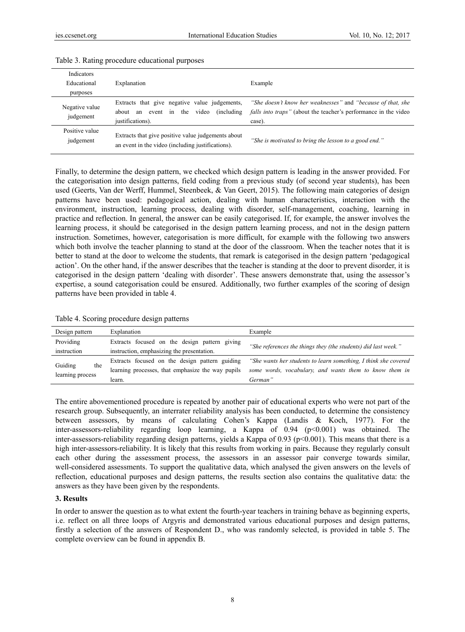| Indicators<br>Educational<br>purposes | Explanation                                                                                                        | Example                                                                                                                                          |
|---------------------------------------|--------------------------------------------------------------------------------------------------------------------|--------------------------------------------------------------------------------------------------------------------------------------------------|
| Negative value<br>judgement           | Extracts that give negative value judgements,<br>event in the video<br>(including)<br>about an<br>justifications). | "She doesn't know her weaknesses" and "because of that, she<br><i>falls into traps</i> " (about the teacher's performance in the video<br>case). |
| Positive value<br>judgement           | Extracts that give positive value judgements about<br>an event in the video (including justifications).            | "She is motivated to bring the lesson to a good end."                                                                                            |

#### Table 3. Rating procedure educational purposes

Finally, to determine the design pattern, we checked which design pattern is leading in the answer provided. For the categorisation into design patterns, field coding from a previous study (of second year students), has been used (Geerts, Van der Werff, Hummel, Steenbeek, & Van Geert, 2015). The following main categories of design patterns have been used: pedagogical action, dealing with human characteristics, interaction with the environment, instruction, learning process, dealing with disorder, self-management, coaching, learning in practice and reflection. In general, the answer can be easily categorised. If, for example, the answer involves the learning process, it should be categorised in the design pattern learning process, and not in the design pattern instruction. Sometimes, however, categorisation is more difficult, for example with the following two answers which both involve the teacher planning to stand at the door of the classroom. When the teacher notes that it is better to stand at the door to welcome the students, that remark is categorised in the design pattern 'pedagogical action'. On the other hand, if the answer describes that the teacher is standing at the door to prevent disorder, it is categorised in the design pattern 'dealing with disorder'. These answers demonstrate that, using the assessor's expertise, a sound categorisation could be ensured. Additionally, two further examples of the scoring of design patterns have been provided in table 4.

|  |  | Table 4. Scoring procedure design patterns |  |  |
|--|--|--------------------------------------------|--|--|
|--|--|--------------------------------------------|--|--|

| Design pattern   | Explanation                                       | Example                                                         |
|------------------|---------------------------------------------------|-----------------------------------------------------------------|
| Providing        | Extracts focused on the design pattern giving     | "She references the things they (the students) did last week."  |
| instruction      | instruction, emphasizing the presentation.        |                                                                 |
| Guiding<br>the   | Extracts focused on the design pattern guiding    | "She wants her students to learn something, I think she covered |
| learning process | learning processes, that emphasize the way pupils | some words, vocabulary, and wants them to know them in          |
|                  | learn.                                            | German"                                                         |

The entire abovementioned procedure is repeated by another pair of educational experts who were not part of the research group. Subsequently, an interrater reliability analysis has been conducted, to determine the consistency between assessors, by means of calculating Cohen's Kappa (Landis & Koch, 1977). For the inter-assessors-reliability regarding loop learning, a Kappa of 0.94 (p<0.001) was obtained. The inter-assessors-reliability regarding design patterns, yields a Kappa of 0.93 ( $p<0.001$ ). This means that there is a high inter-assessors-reliability. It is likely that this results from working in pairs. Because they regularly consult each other during the assessment process, the assessors in an assessor pair converge towards similar, well-considered assessments. To support the qualitative data, which analysed the given answers on the levels of reflection, educational purposes and design patterns, the results section also contains the qualitative data: the answers as they have been given by the respondents.

#### **3. Results**

In order to answer the question as to what extent the fourth-year teachers in training behave as beginning experts, i.e. reflect on all three loops of Argyris and demonstrated various educational purposes and design patterns, firstly a selection of the answers of Respondent D., who was randomly selected, is provided in table 5. The complete overview can be found in appendix B.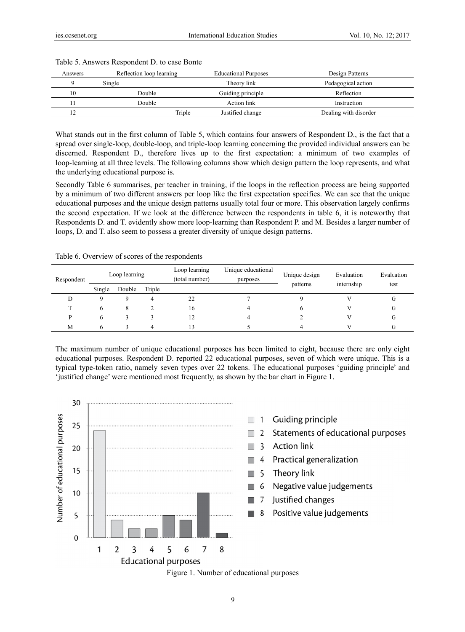| Answers                                                                                                          | Reflection loop learning | <b>Educational Purposes</b> | Design Patterns       |  |  |  |
|------------------------------------------------------------------------------------------------------------------|--------------------------|-----------------------------|-----------------------|--|--|--|
| 9                                                                                                                | Single                   | Theory link                 | Pedagogical action    |  |  |  |
| 10                                                                                                               | Double                   | Guiding principle           | Reflection            |  |  |  |
| 11                                                                                                               | Double                   | Action link                 | Instruction           |  |  |  |
| 12                                                                                                               | Triple                   | Justified change            | Dealing with disorder |  |  |  |
| What stands out in the first column of Table 5, which contains four answers of Respondent D., is the fact that a |                          |                             |                       |  |  |  |

#### Table 5. Answers Respondent D. to case Bonte

spread over single-loop, double-loop, and triple-loop learning concerning the provided individual answers can be discerned. Respondent D., therefore lives up to the first expectation: a minimum of two examples of loop-learning at all three levels. The following columns show which design pattern the loop represents, and what the underlying educational purpose is.

Secondly Table 6 summarises, per teacher in training, if the loops in the reflection process are being supported by a minimum of two different answers per loop like the first expectation specifies. We can see that the unique educational purposes and the unique design patterns usually total four or more. This observation largely confirms the second expectation. If we look at the difference between the respondents in table 6, it is noteworthy that Respondents D. and T. evidently show more loop-learning than Respondent P. and M. Besides a larger number of loops, D. and T. also seem to possess a greater diversity of unique design patterns.

| Respondent | Loop learning |        | Loop learning<br>(total number) | Unique educational<br>purposes | Unique design | Evaluation<br>internship | Evaluation |      |
|------------|---------------|--------|---------------------------------|--------------------------------|---------------|--------------------------|------------|------|
|            | Single        | Double | Triple                          |                                |               | patterns                 |            | test |
| IJ         |               |        |                                 | 22                             |               |                          |            | u    |
|            | o             | Λ      |                                 | 16                             |               |                          |            | u    |
| D          | O             |        |                                 |                                |               |                          |            | U    |
| M          |               |        | 4                               |                                |               |                          |            |      |

Table 6. Overview of scores of the respondents

The maximum number of unique educational purposes has been limited to eight, because there are only eight educational purposes. Respondent D. reported 22 educational purposes, seven of which were unique. This is a typical type-token ratio, namely seven types over 22 tokens. The educational purposes 'guiding principle' and 'justified change' were mentioned most frequently, as shown by the bar chart in Figure 1.



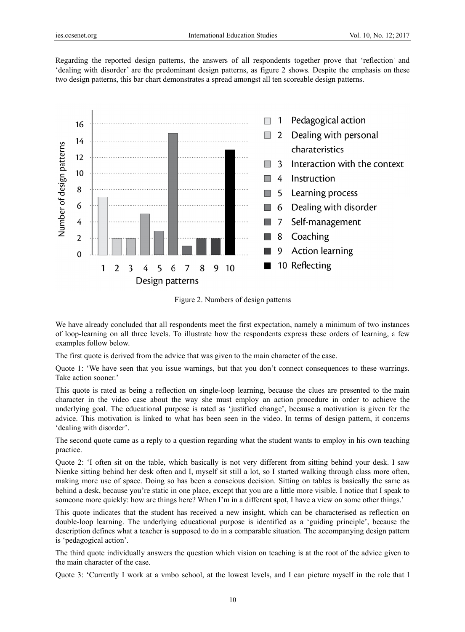Regarding the reported design patterns, the answers of all respondents together prove that 'reflection' and 'dealing with disorder' are the predominant design patterns, as figure 2 shows. Despite the emphasis on these two design patterns, this bar chart demonstrates a spread amongst all ten scoreable design patterns.



Figure 2. Numbers of design patterns

We have already concluded that all respondents meet the first expectation, namely a minimum of two instances of loop-learning on all three levels. To illustrate how the respondents express these orders of learning, a few examples follow below.

The first quote is derived from the advice that was given to the main character of the case.

Quote 1: 'We have seen that you issue warnings, but that you don't connect consequences to these warnings. Take actio n sooner.'

This quote is rated as being a reflection on single-loop learning, because the clues are presented to the main character in the video case about the way she must employ an action procedure in order to achieve the underlying goal. The educational purpose is rated as 'justified change', because a motivation is given for the advice. This motivation is linked to what has been seen in the video. In terms of design pattern, it concerns 'dealing w with disorder'.

The second quote came as a reply to a question regarding what the student wants to employ in his own teaching practice.

Quote 2: 'I often sit on the table, which basically is not very different from sitting behind your desk. I saw Nienke sitting behind her desk often and I, myself sit still a lot, so I started walking through class more often, making more use of space. Doing so has been a conscious decision. Sitting on tables is basically the same as behind a desk, because you're static in one place, except that you are a little more visible. I notice that I speak to someone more quickly: how are things here? When I'm in a different spot, I have a view on some other things.'

This quote indicates that the student has received a new insight, which can be characterised as reflection on double-loop learning. The underlying educational purpose is identified as a 'guiding principle', because the description defines what a teacher is supposed to do in a comparable situation. The accompanying design pattern is 'pedagogical action'.

The third quote individually answers the question which vision on teaching is at the root of the advice given to the main character of the case.

Quote 3: 'Currently I work at a vmbo school, at the lowest levels, and I can picture myself in the role that I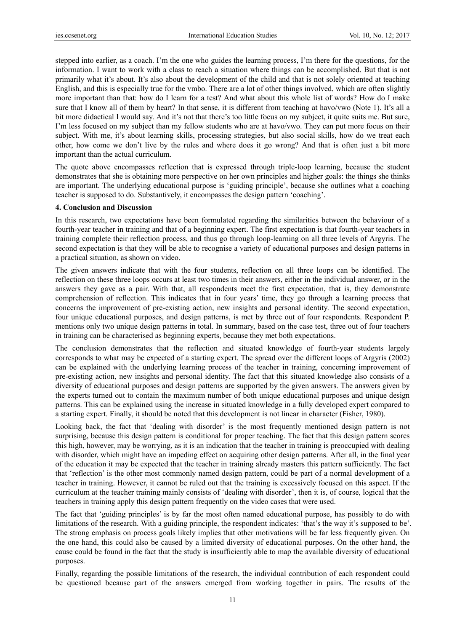stepped into earlier, as a coach. I'm the one who guides the learning process, I'm there for the questions, for the information. I want to work with a class to reach a situation where things can be accomplished. But that is not primarily what it's about. It's also about the development of the child and that is not solely oriented at teaching English, and this is especially true for the vmbo. There are a lot of other things involved, which are often slightly more important than that: how do I learn for a test? And what about this whole list of words? How do I make sure that I know all of them by heart? In that sense, it is different from teaching at havo/vwo (Note 1). It's all a bit more didactical I would say. And it's not that there's too little focus on my subject, it quite suits me. But sure, I'm less focused on my subject than my fellow students who are at havo/vwo. They can put more focus on their subject. With me, it's about learning skills, processing strategies, but also social skills, how do we treat each other, how come we don't live by the rules and where does it go wrong? And that is often just a bit more important than the actual curriculum.

The quote above encompasses reflection that is expressed through triple-loop learning, because the student demonstrates that she is obtaining more perspective on her own principles and higher goals: the things she thinks are important. The underlying educational purpose is 'guiding principle', because she outlines what a coaching teacher is supposed to do. Substantively, it encompasses the design pattern 'coaching'.

#### **4. Conclusion and Discussion**

In this research, two expectations have been formulated regarding the similarities between the behaviour of a fourth-year teacher in training and that of a beginning expert. The first expectation is that fourth-year teachers in training complete their reflection process, and thus go through loop-learning on all three levels of Argyris. The second expectation is that they will be able to recognise a variety of educational purposes and design patterns in a practical situation, as shown on video.

The given answers indicate that with the four students, reflection on all three loops can be identified. The reflection on these three loops occurs at least two times in their answers, either in the individual answer, or in the answers they gave as a pair. With that, all respondents meet the first expectation, that is, they demonstrate comprehension of reflection. This indicates that in four years' time, they go through a learning process that concerns the improvement of pre-existing action, new insights and personal identity. The second expectation, four unique educational purposes, and design patterns, is met by three out of four respondents. Respondent P. mentions only two unique design patterns in total. In summary, based on the case test, three out of four teachers in training can be characterised as beginning experts, because they met both expectations.

The conclusion demonstrates that the reflection and situated knowledge of fourth-year students largely corresponds to what may be expected of a starting expert. The spread over the different loops of Argyris (2002) can be explained with the underlying learning process of the teacher in training, concerning improvement of pre-existing action, new insights and personal identity. The fact that this situated knowledge also consists of a diversity of educational purposes and design patterns are supported by the given answers. The answers given by the experts turned out to contain the maximum number of both unique educational purposes and unique design patterns. This can be explained using the increase in situated knowledge in a fully developed expert compared to a starting expert. Finally, it should be noted that this development is not linear in character (Fisher, 1980).

Looking back, the fact that 'dealing with disorder' is the most frequently mentioned design pattern is not surprising, because this design pattern is conditional for proper teaching. The fact that this design pattern scores this high, however, may be worrying, as it is an indication that the teacher in training is preoccupied with dealing with disorder, which might have an impeding effect on acquiring other design patterns. After all, in the final year of the education it may be expected that the teacher in training already masters this pattern sufficiently. The fact that 'reflection' is the other most commonly named design pattern, could be part of a normal development of a teacher in training. However, it cannot be ruled out that the training is excessively focused on this aspect. If the curriculum at the teacher training mainly consists of 'dealing with disorder', then it is, of course, logical that the teachers in training apply this design pattern frequently on the video cases that were used.

The fact that 'guiding principles' is by far the most often named educational purpose, has possibly to do with limitations of the research. With a guiding principle, the respondent indicates: 'that's the way it's supposed to be'. The strong emphasis on process goals likely implies that other motivations will be far less frequently given. On the one hand, this could also be caused by a limited diversity of educational purposes. On the other hand, the cause could be found in the fact that the study is insufficiently able to map the available diversity of educational purposes.

Finally, regarding the possible limitations of the research, the individual contribution of each respondent could be questioned because part of the answers emerged from working together in pairs. The results of the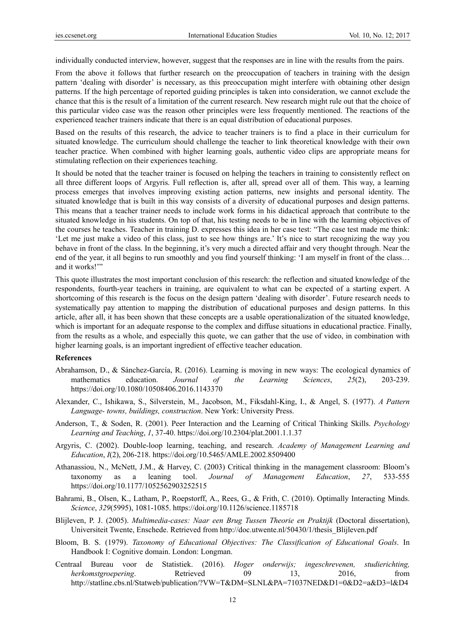individually conducted interview, however, suggest that the responses are in line with the results from the pairs.

From the above it follows that further research on the preoccupation of teachers in training with the design pattern 'dealing with disorder' is necessary, as this preoccupation might interfere with obtaining other design patterns. If the high percentage of reported guiding principles is taken into consideration, we cannot exclude the chance that this is the result of a limitation of the current research. New research might rule out that the choice of this particular video case was the reason other principles were less frequently mentioned. The reactions of the experienced teacher trainers indicate that there is an equal distribution of educational purposes.

Based on the results of this research, the advice to teacher trainers is to find a place in their curriculum for situated knowledge. The curriculum should challenge the teacher to link theoretical knowledge with their own teacher practice. When combined with higher learning goals, authentic video clips are appropriate means for stimulating reflection on their experiences teaching.

It should be noted that the teacher trainer is focused on helping the teachers in training to consistently reflect on all three different loops of Argyris. Full reflection is, after all, spread over all of them. This way, a learning process emerges that involves improving existing action patterns, new insights and personal identity. The situated knowledge that is built in this way consists of a diversity of educational purposes and design patterns. This means that a teacher trainer needs to include work forms in his didactical approach that contribute to the situated knowledge in his students. On top of that, his testing needs to be in line with the learning objectives of the courses he teaches. Teacher in training D. expresses this idea in her case test: "The case test made me think: 'Let me just make a video of this class, just to see how things are.' It's nice to start recognizing the way you behave in front of the class. In the beginning, it's very much a directed affair and very thought through. Near the end of the year, it all begins to run smoothly and you find yourself thinking: 'I am myself in front of the class… and it works!'"

This quote illustrates the most important conclusion of this research: the reflection and situated knowledge of the respondents, fourth-year teachers in training, are equivalent to what can be expected of a starting expert. A shortcoming of this research is the focus on the design pattern 'dealing with disorder'. Future research needs to systematically pay attention to mapping the distribution of educational purposes and design patterns. In this article, after all, it has been shown that these concepts are a usable operationalization of the situated knowledge, which is important for an adequate response to the complex and diffuse situations in educational practice. Finally, from the results as a whole, and especially this quote, we can gather that the use of video, in combination with higher learning goals, is an important ingredient of effective teacher education.

#### **References**

- Abrahamson, D., & Sánchez-García, R. (2016). Learning is moving in new ways: The ecological dynamics of mathematics education. *Journal of the Learning Sciences*, *25*(2), 203-239. https://doi.org/10.1080/10508406.2016.1143370
- Alexander, C., Ishikawa, S., Silverstein, M., Jacobson, M., Fiksdahl-King, I., & Angel, S. (1977). *A Pattern Language- towns, buildings, construction*. New York: University Press.
- Anderson, T., & Soden, R. (2001). Peer Interaction and the Learning of Critical Thinking Skills. *Psychology Learning and Teaching*, *1*, 37-40. https://doi.org/10.2304/plat.2001.1.1.37
- Argyris, C. (2002). Double-loop learning, teaching, and research. *Academy of Management Learning and Education*, *I*(2), 206-218. https://doi.org/10.5465/AMLE.2002.8509400
- Athanassiou, N., McNett, J.M., & Harvey, C. (2003) Critical thinking in the management classroom: Bloom's taxonomy as a leaning tool. *Journal of Management Education*, *27*, 533-555 https://doi.org/10.1177/1052562903252515
- Bahrami, B., Olsen, K., Latham, P., Roepstorff, A., Rees, G., & Frith, C. (2010). Optimally Interacting Minds. *Science*, *329*(5995), 1081-1085. https://doi.org/10.1126/science.1185718
- Blijleven, P. J. (2005). *Multimedia-cases: Naar een Brug Tussen Theorie en Praktijk* (Doctoral dissertation), Universiteit Twente, Enschede. Retrieved from http://doc.utwente.nl/50430/1/thesis\_Blijleven.pdf
- Bloom, B. S. (1979). *Taxonomy of Educational Objectives: The Classification of Educational Goals*. In Handbook I: Cognitive domain. London: Longman.
- Centraal Bureau voor de Statistiek. (2016). *Hoger onderwijs; ingeschrevenen, studierichting, herkomstgroepering*. Retrieved 09 13, 2016, from http://statline.cbs.nl/Statweb/publication/?VW=T&DM=SLNL&PA=71037NED&D1=0&D2=a&D3=l&D4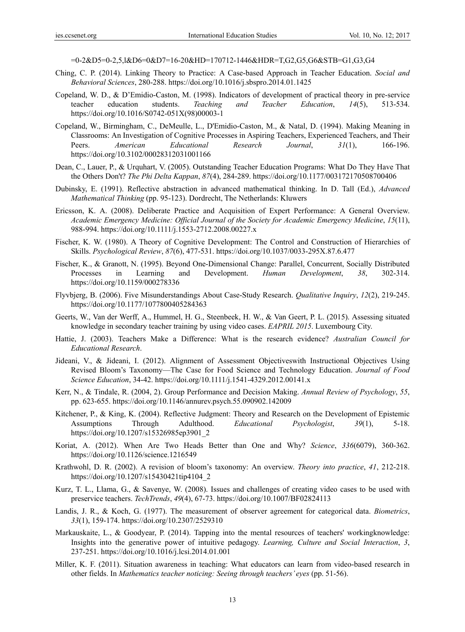=0-2&D5=0-2,5,l&D6=0&D7=16-20&HD=170712-1446&HDR=T,G2,G5,G6&STB=G1,G3,G4

- Ching, C. P. (2014). Linking Theory to Practice: A Case-based Approach in Teacher Education. *Social and Behavioral Sciences*, 280-288. https://doi.org/10.1016/j.sbspro.2014.01.1425
- Copeland, W. D., & D'Emidio-Caston, M. (1998). Indicators of development of practical theory in pre-service teacher education students. *Teaching and Teacher Education*, *14*(5), 513-534. https://doi.org/10.1016/S0742-051X(98)00003-1
- Copeland, W., Birmingham, C., DeMeulle, L., D'Emidio-Caston, M., & Natal, D. (1994). Making Meaning in Classrooms: An Investigation of Cognitive Processes in Aspiring Teachers, Experienced Teachers, and Their Peers. *American Educational Research Journal*, *31*(1), 166-196. https://doi.org/10.3102/00028312031001166
- Dean, C., Lauer, P., & Urquhart, V. (2005). Outstanding Teacher Education Programs: What Do They Have That the Others Don't? *The Phi Delta Kappan*, *87*(4), 284-289. https://doi.org/10.1177/003172170508700406
- Dubinsky, E. (1991). Reflective abstraction in advanced mathematical thinking. In D. Tall (Ed.), *Advanced Mathematical Thinking* (pp. 95-123). Dordrecht, The Netherlands: Kluwers
- Ericsson, K. A. (2008). Deliberate Practice and Acquisition of Expert Performance: A General Overview. *Academic Emergency Medicine: Official Journal of the Society for Academic Emergency Medicine*, *15*(11), 988-994. https://doi.org/10.1111/j.1553-2712.2008.00227.x
- Fischer, K. W. (1980). A Theory of Cognitive Development: The Control and Construction of Hierarchies of Skills. *Psychological Review*, *87*(6), 477-531. https://doi.org/10.1037/0033-295X.87.6.477
- Fischer, K., & Granott, N. (1995). Beyond One-Dimensional Change: Parallel, Concurrent, Socially Distributed Processes in Learning and Development. *Human Development*, *38*, 302-314. https://doi.org/10.1159/000278336
- Flyvbjerg, B. (2006). Five Misunderstandings About Case-Study Research. *Qualitative Inquiry*, *12*(2), 219-245. https://doi.org/10.1177/1077800405284363
- Geerts, W., Van der Werff, A., Hummel, H. G., Steenbeek, H. W., & Van Geert, P. L. (2015). Assessing situated knowledge in secondary teacher training by using video cases. *EAPRIL 2015*. Luxembourg City.
- Hattie, J. (2003). Teachers Make a Difference: What is the research evidence? *Australian Council for Educational Research*.
- Jideani, V., & Jideani, I. (2012). Alignment of Assessment Objectiveswith Instructional Objectives Using Revised Bloom's Taxonomy—The Case for Food Science and Technology Education. *Journal of Food Science Education*, 34-42. https://doi.org/10.1111/j.1541-4329.2012.00141.x
- Kerr, N., & Tindale, R. (2004, 2). Group Performance and Decision Making. *Annual Review of Psychology*, *55*, pp. 623-655. https://doi.org/10.1146/annurev.psych.55.090902.142009
- Kitchener, P., & King, K. (2004). Reflective Judgment: Theory and Research on the Development of Epistemic Assumptions Through Adulthood. *Educational Psychologist*, *39*(1), 5-18. https://doi.org/10.1207/s15326985ep3901\_2
- Koriat, A. (2012). When Are Two Heads Better than One and Why? *Science*, *336*(6079), 360-362. https://doi.org/10.1126/science.1216549
- Krathwohl, D. R. (2002). A revision of bloom's taxonomy: An overview. *Theory into practice*, *41*, 212-218. https://doi.org/10.1207/s15430421tip4104\_2
- Kurz, T. L., Llama, G., & Savenye, W. (2008). Issues and challenges of creating video cases to be used with preservice teachers. *TechTrends*, *49*(4), 67-73. https://doi.org/10.1007/BF02824113
- Landis, J. R., & Koch, G. (1977). The measurement of observer agreement for categorical data. *Biometrics*, *33*(1), 159-174. https://doi.org/10.2307/2529310
- Markauskaite, L., & Goodyear, P. (2014). Tapping into the mental resources of teachers' workingknowledge: Insights into the generative power of intuitive pedagogy. *Learning, Culture and Social Interaction*, *3*, 237-251. https://doi.org/10.1016/j.lcsi.2014.01.001
- Miller, K. F. (2011). Situation awareness in teaching: What educators can learn from video-based research in other fields. In *Mathematics teacher noticing: Seeing through teachers' eyes* (pp. 51-56).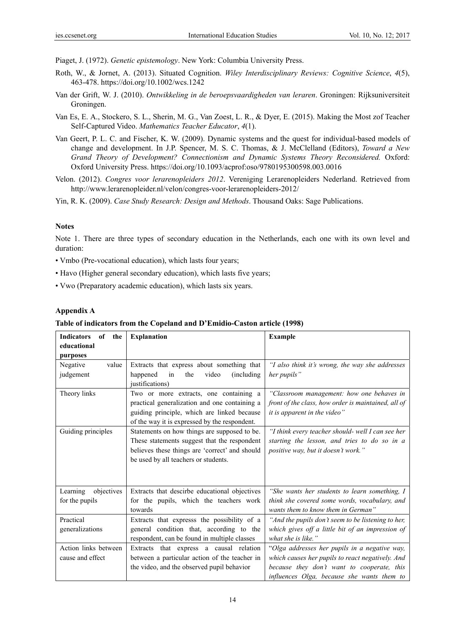Piaget, J. (1972). *Genetic epistemology*. New York: Columbia University Press.

- Roth, W., & Jornet, A. (2013). Situated Cognition. *Wiley Interdisciplinary Reviews: Cognitive Science*, *4*(5), 463-478. https://doi.org/10.1002/wcs.1242
- Van der Grift, W. J. (2010). *Ontwikkeling in de beroepsvaardigheden van leraren*. Groningen: Rijksuniversiteit Groningen.
- Van Es, E. A., Stockero, S. L., Sherin, M. G., Van Zoest, L. R., & Dyer, E. (2015). Making the Most zof Teacher Self-Captured Video. *Mathematics Teacher Educator*, *4*(1).
- Van Geert, P. L. C. and Fischer, K. W. (2009). Dynamic systems and the quest for individual-based models of change and development. In J.P. Spencer, M. S. C. Thomas, & J. McClelland (Editors), *Toward a New Grand Theory of Development? Connectionism and Dynamic Systems Theory Reconsidered.* Oxford: Oxford University Press. https://doi.org/10.1093/acprof:oso/9780195300598.003.0016
- Velon. (2012). *Congres voor lerarenopleiders 2012*. Vereniging Lerarenopleiders Nederland. Retrieved from http://www.lerarenopleider.nl/velon/congres-voor-lerarenopleiders-2012/

Yin, R. K. (2009). *Case Study Research: Design and Methods*. Thousand Oaks: Sage Publications.

### **Notes**

Note 1. There are three types of secondary education in the Netherlands, each one with its own level and duration:

- Vmbo (Pre-vocational education), which lasts four years;
- Havo (Higher general secondary education), which lasts five years;
- Vwo (Preparatory academic education), which lasts six years.

### **Appendix A**

#### **Table of indicators from the Copeland and D'Emidio-Caston article (1998)**

| of<br><b>Indicators</b><br>the | <b>Explanation</b>                             | <b>Example</b>                                      |  |  |
|--------------------------------|------------------------------------------------|-----------------------------------------------------|--|--|
| educational                    |                                                |                                                     |  |  |
| purposes                       |                                                |                                                     |  |  |
| value<br>Negative              | Extracts that express about something that     | "I also think it's wrong, the way she addresses     |  |  |
| judgement                      | the<br>happened<br>in<br>video<br>(including)  | her pupils"                                         |  |  |
|                                | justifications)                                |                                                     |  |  |
| Theory links                   | Two or more extracts, one containing a         | "Classroom management: how one behaves in           |  |  |
|                                | practical generalization and one containing a  | front of the class, how order is maintained, all of |  |  |
|                                | guiding principle, which are linked because    | it is apparent in the video"                        |  |  |
|                                | of the way it is expressed by the respondent.  |                                                     |  |  |
| Guiding principles             | Statements on how things are supposed to be.   | "I think every teacher should- well I can see her   |  |  |
|                                | These statements suggest that the respondent   | starting the lesson, and tries to do so in a        |  |  |
|                                | believes these things are 'correct' and should | <i>positive way, but it doesn't work.</i> "         |  |  |
|                                | be used by all teachers or students.           |                                                     |  |  |
|                                |                                                |                                                     |  |  |
|                                |                                                |                                                     |  |  |
| Learning<br>objectives         | Extracts that descirbe educational objectives  | "She wants her students to learn something, I       |  |  |
| for the pupils                 | for the pupils, which the teachers work        | think she covered some words, vocabulary, and       |  |  |
|                                | towards                                        | wants them to know them in German"                  |  |  |
| Practical                      | Extracts that expresss the possibility of a    | "And the pupils don't seem to be listening to her,  |  |  |
| generalizations                | general condition that, according to the       | which gives off a little bit of an impression of    |  |  |
|                                | respondent, can be found in multiple classes   | what she is like."                                  |  |  |
| Action links between           | Extracts that express a causal relation        | "Olga addresses her pupils in a negative way,       |  |  |
| cause and effect               | between a particular action of the teacher in  | which causes her pupils to react negatively. And    |  |  |
|                                | the video, and the observed pupil behavior     | because they don't want to cooperate, this          |  |  |
|                                |                                                | influences Olga, because she wants them to          |  |  |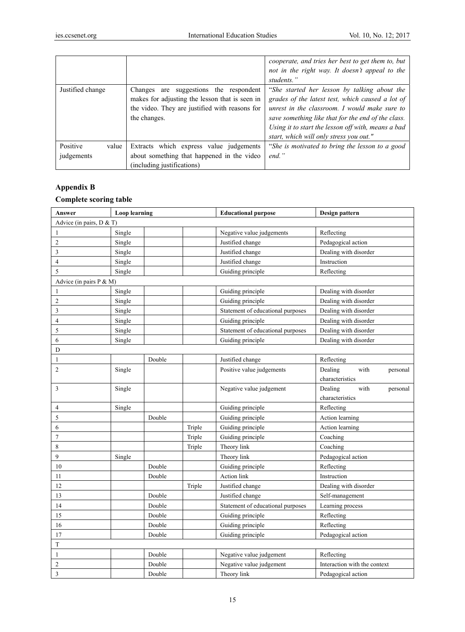|                                 |                                                                                                                                                               | cooperate, and tries her best to get them to, but<br>not in the right way. It doesn't appeal to the<br>students."                                                                                                                                                                                        |
|---------------------------------|---------------------------------------------------------------------------------------------------------------------------------------------------------------|----------------------------------------------------------------------------------------------------------------------------------------------------------------------------------------------------------------------------------------------------------------------------------------------------------|
| Justified change                | suggestions the respondent<br>Changes are<br>makes for adjusting the lesson that is seen in<br>the video. They are justified with reasons for<br>the changes. | "She started her lesson by talking about the<br>grades of the latest test, which caused a lot of<br>unrest in the classroom. I would make sure to<br>save something like that for the end of the class.<br>Using it to start the lesson off with, means a bad<br>start, which will only stress you out." |
| Positive<br>value<br>judgements | Extracts which express value judgements<br>about something that happened in the video<br>(including justifications)                                           | "She is motivated to bring the lesson to a good<br>$end.$ "                                                                                                                                                                                                                                              |

# **Appendix B**

## **Complete scoring table**

| Answer                     | <b>Loop</b> learning |        |        | <b>Educational purpose</b>        | Design pattern               |  |
|----------------------------|----------------------|--------|--------|-----------------------------------|------------------------------|--|
| Advice (in pairs, D & T)   |                      |        |        |                                   |                              |  |
| 1                          | Single               |        |        | Negative value judgements         | Reflecting                   |  |
| $\overline{c}$             | Single               |        |        | Justified change                  | Pedagogical action           |  |
| 3                          | Single               |        |        | Justified change                  | Dealing with disorder        |  |
| $\overline{4}$             | Single               |        |        | Justified change                  | Instruction                  |  |
| 5                          | Single               |        |        | Guiding principle                 | Reflecting                   |  |
| Advice (in pairs $P & M$ ) |                      |        |        |                                   |                              |  |
| 1                          | Single               |        |        | Guiding principle                 | Dealing with disorder        |  |
| $\overline{2}$             | Single               |        |        | Guiding principle                 | Dealing with disorder        |  |
| 3                          | Single               |        |        | Statement of educational purposes | Dealing with disorder        |  |
| $\overline{4}$             | Single               |        |        | Guiding principle                 | Dealing with disorder        |  |
| 5                          | Single               |        |        | Statement of educational purposes | Dealing with disorder        |  |
| 6                          | Single               |        |        | Guiding principle                 | Dealing with disorder        |  |
| D                          |                      |        |        |                                   |                              |  |
| $\mathbf{1}$               |                      | Double |        | Justified change                  | Reflecting                   |  |
| $\overline{c}$             | Single               |        |        | Positive value judgements         | Dealing<br>with<br>personal  |  |
|                            |                      |        |        |                                   | characteristics              |  |
| 3                          | Single               |        |        | Negative value judgement          | with<br>Dealing<br>personal  |  |
|                            |                      |        |        |                                   | characteristics              |  |
| 4                          | Single               |        |        | Guiding principle                 | Reflecting                   |  |
| 5                          |                      | Double |        | Guiding principle                 | Action learning              |  |
| 6                          |                      |        | Triple | Guiding principle                 | Action learning              |  |
| $\overline{7}$             |                      |        | Triple | Guiding principle                 | Coaching                     |  |
| 8                          |                      |        | Triple | Theory link                       | Coaching                     |  |
| 9                          | Single               |        |        | Theory link                       | Pedagogical action           |  |
| 10                         |                      | Double |        | Guiding principle                 | Reflecting                   |  |
| 11                         |                      | Double |        | Action link                       | Instruction                  |  |
| 12                         |                      |        | Triple | Justified change                  | Dealing with disorder        |  |
| 13                         |                      | Double |        | Justified change                  | Self-management              |  |
| 14                         |                      | Double |        | Statement of educational purposes | Learning process             |  |
| 15                         |                      | Double |        | Guiding principle                 | Reflecting                   |  |
| 16                         |                      | Double |        | Guiding principle                 | Reflecting                   |  |
| 17                         |                      | Double |        | Guiding principle                 | Pedagogical action           |  |
| T                          |                      |        |        |                                   |                              |  |
| $\mathbf{1}$               |                      | Double |        | Negative value judgement          | Reflecting                   |  |
| $\boldsymbol{2}$           |                      | Double |        | Negative value judgement          | Interaction with the context |  |
| 3                          |                      | Double |        | Theory link                       | Pedagogical action           |  |